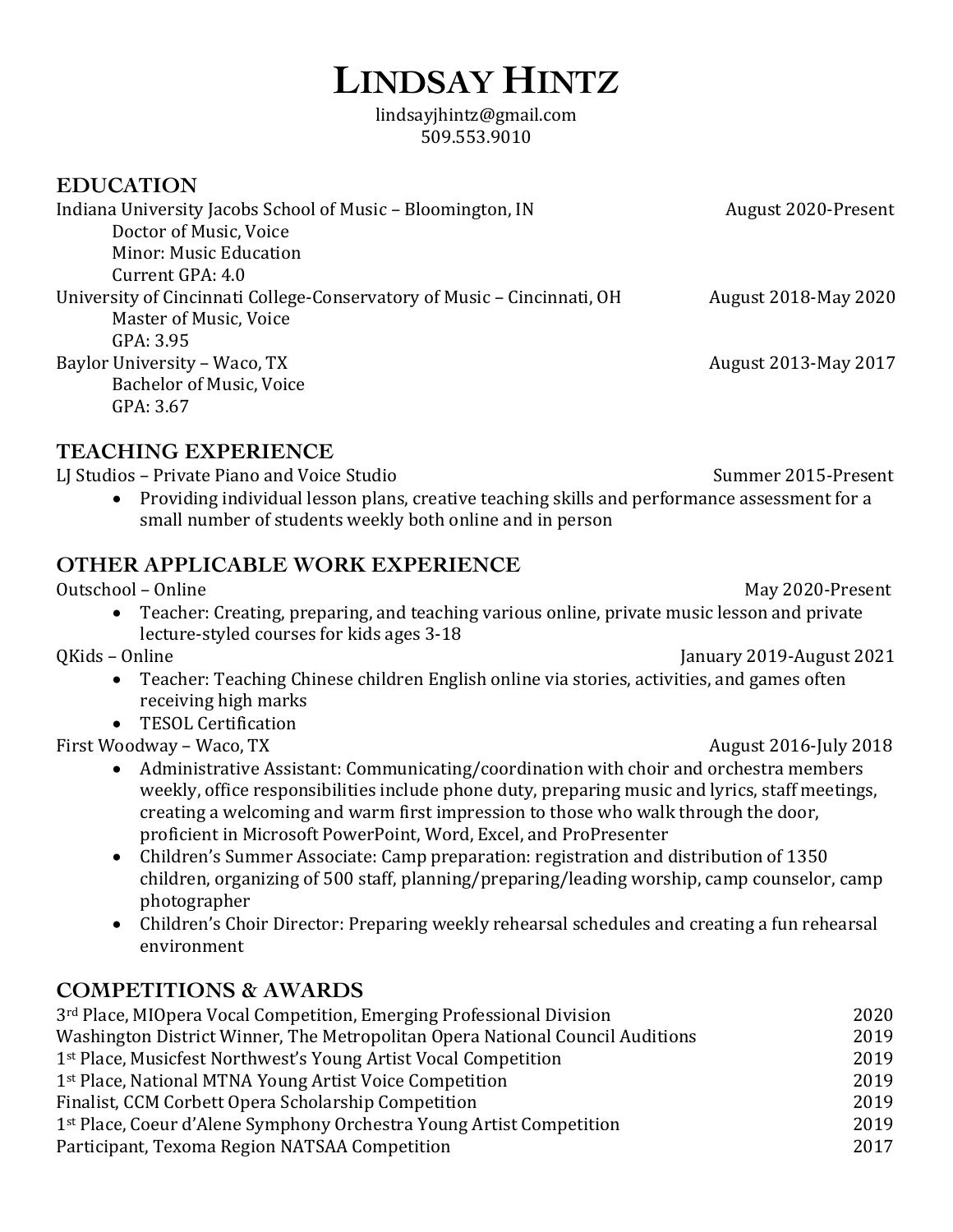# **LINDSAY HINTZ**

lindsayjhintz@gmail.com 509.553.9010

#### **EDUCATION**

| Indiana University Jacobs School of Music – Bloomington, IN             | August 2020-Present         |
|-------------------------------------------------------------------------|-----------------------------|
| Doctor of Music, Voice                                                  |                             |
| <b>Minor: Music Education</b>                                           |                             |
| Current GPA: 4.0                                                        |                             |
| University of Cincinnati College-Conservatory of Music – Cincinnati, OH | <b>August 2018-May 2020</b> |
| Master of Music, Voice                                                  |                             |
| GPA: 3.95                                                               |                             |
| Baylor University - Waco, TX                                            | August 2013-May 2017        |
| <b>Bachelor of Music, Voice</b>                                         |                             |
| GPA: 3.67                                                               |                             |
|                                                                         |                             |

#### **TEACHING EXPERIENCE**

LJ Studios – Private Piano and Voice Studio Summer 2015-Present

• Providing individual lesson plans, creative teaching skills and performance assessment for a small number of students weekly both online and in person

#### **OTHER APPLICABLE WORK EXPERIENCE**

Outschool – Online **May 2020-Present** 

• Teacher: Creating, preparing, and teaching various online, private music lesson and private lecture-styled courses for kids ages 3-18

QKids – Online January 2019-August 2021

- Teacher: Teaching Chinese children English online via stories, activities, and games often receiving high marks
- TESOL Certification

First Woodway – Waco, TX and the control of the control of the control of the August 2016-July 2018

- Administrative Assistant: Communicating/coordination with choir and orchestra members weekly, office responsibilities include phone duty, preparing music and lyrics, staff meetings, creating a welcoming and warm first impression to those who walk through the door, proficient in Microsoft PowerPoint, Word, Excel, and ProPresenter
- Children's Summer Associate: Camp preparation: registration and distribution of 1350 children, organizing of 500 staff, planning/preparing/leading worship, camp counselor, camp photographer
- Children's Choir Director: Preparing weekly rehearsal schedules and creating a fun rehearsal environment

#### **COMPETITIONS & AWARDS**

| 3 <sup>rd</sup> Place, MIOpera Vocal Competition, Emerging Professional Division | 2020 |
|----------------------------------------------------------------------------------|------|
| Washington District Winner, The Metropolitan Opera National Council Auditions    | 2019 |
| 1 <sup>st</sup> Place, Musicfest Northwest's Young Artist Vocal Competition      | 2019 |
| 1 <sup>st</sup> Place, National MTNA Young Artist Voice Competition              | 2019 |
| Finalist, CCM Corbett Opera Scholarship Competition                              | 2019 |
| 1 <sup>st</sup> Place, Coeur d'Alene Symphony Orchestra Young Artist Competition | 2019 |
| Participant, Texoma Region NATSAA Competition                                    | 2017 |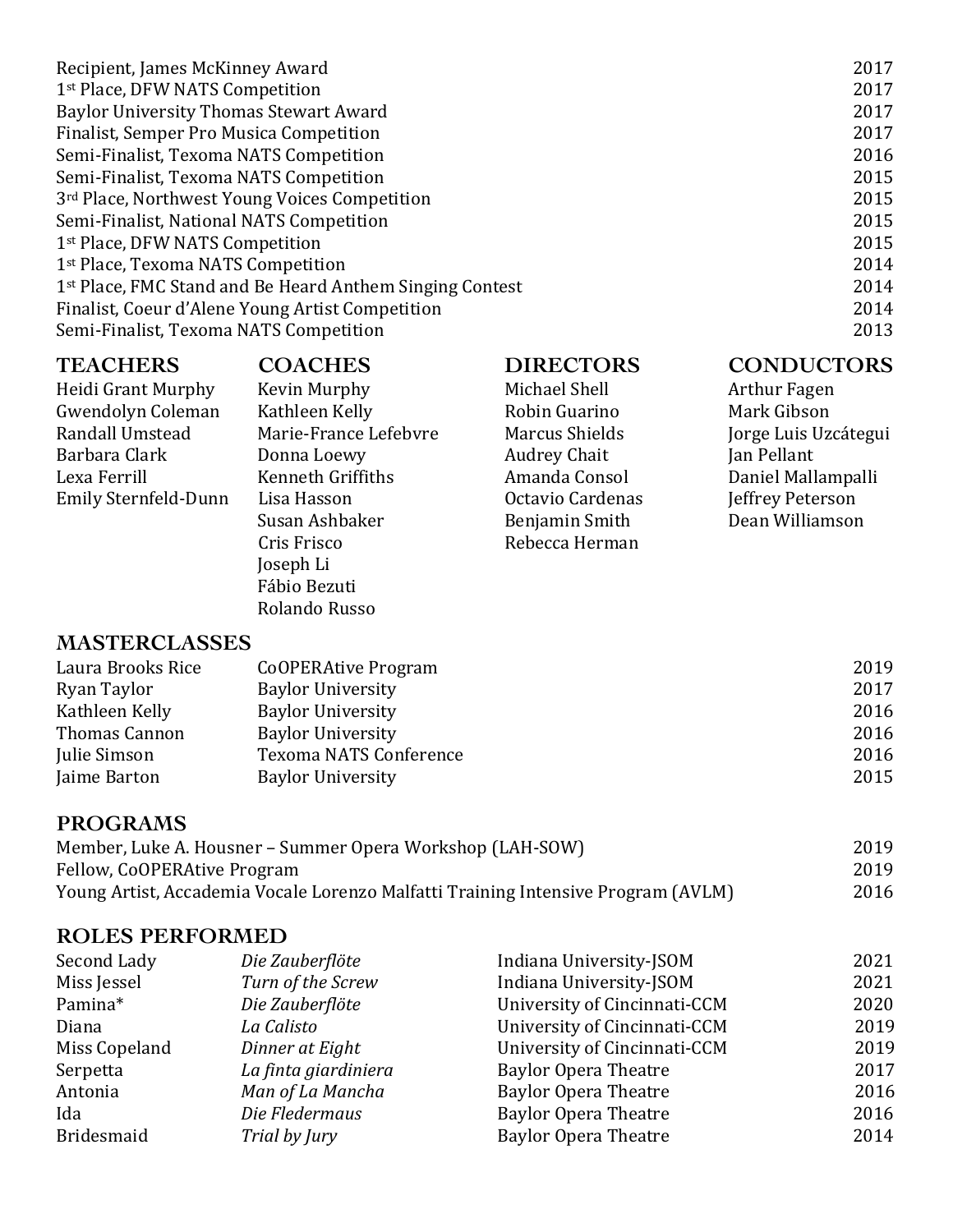| Recipient, James McKinney Award                                      | 2017 |
|----------------------------------------------------------------------|------|
| 1 <sup>st</sup> Place, DFW NATS Competition                          | 2017 |
| <b>Baylor University Thomas Stewart Award</b>                        | 2017 |
| Finalist, Semper Pro Musica Competition                              | 2017 |
| Semi-Finalist, Texoma NATS Competition                               | 2016 |
| Semi-Finalist, Texoma NATS Competition                               | 2015 |
| 3rd Place, Northwest Young Voices Competition                        | 2015 |
| Semi-Finalist, National NATS Competition                             | 2015 |
| 1 <sup>st</sup> Place, DFW NATS Competition                          | 2015 |
| 1 <sup>st</sup> Place, Texoma NATS Competition                       | 2014 |
| 1 <sup>st</sup> Place, FMC Stand and Be Heard Anthem Singing Contest | 2014 |
| Finalist, Coeur d'Alene Young Artist Competition                     | 2014 |
| Semi-Finalist, Texoma NATS Competition                               | 2013 |
|                                                                      |      |

#### **TEACHERS COACHES DIRECTORS CONDUCTORS** Heidi Grant Murphy Kevin Murphy Michael Shell Arthur Fagen Gwendolyn Coleman Kathleen Kelly Robin Guarino Randall Umstead Marie-France Lefebvre Marcus Shields Jorge Luis Uzcátegui Barbara Clark **Donna Loewy** Audrey Chait **Audrey Chait** Jan Pellant Lexa Ferrill Kenneth Griffiths Amanda Consol Daniel Mallampalli Emily Sternfeld-Dunn Lisa Hasson **Die Gelanne Contavio Cardenas** Susan Ashbaker **Benjamin** Smith Dean Williamson Cris Frisco Rebecca Herman Joseph Li Fábio Bezuti Rolando Russo **MASTERCLASSES**

| Laura Brooks Rice    | <b>CoOPERAtive Program</b> | 2019 |
|----------------------|----------------------------|------|
| Ryan Taylor          | <b>Baylor University</b>   | 2017 |
| Kathleen Kelly       | <b>Baylor University</b>   | 2016 |
| <b>Thomas Cannon</b> | <b>Baylor University</b>   | 2016 |
| Julie Simson         | Texoma NATS Conference     | 2016 |
| Jaime Barton         | <b>Baylor University</b>   | 2015 |

#### **PROGRAMS**

| Member, Luke A. Housner – Summer Opera Workshop (LAH-SOW)                         | 2019 |
|-----------------------------------------------------------------------------------|------|
| Fellow, CoOPERAtive Program                                                       | 2019 |
| Young Artist, Accademia Vocale Lorenzo Malfatti Training Intensive Program (AVLM) | 2016 |

### **ROLES PERFORMED**

| Second Lady       | Die Zauberflöte      | Indiana University-JSOM      | 2021 |
|-------------------|----------------------|------------------------------|------|
| Miss Jessel       | Turn of the Screw    | Indiana University-JSOM      | 2021 |
| Pamina*           | Die Zauberflöte      | University of Cincinnati-CCM | 2020 |
| Diana             | La Calisto           | University of Cincinnati-CCM | 2019 |
| Miss Copeland     | Dinner at Eight      | University of Cincinnati-CCM | 2019 |
| Serpetta          | La finta giardiniera | <b>Baylor Opera Theatre</b>  | 2017 |
| Antonia           | Man of La Mancha     | <b>Baylor Opera Theatre</b>  | 2016 |
| Ida               | Die Fledermaus       | <b>Baylor Opera Theatre</b>  | 2016 |
| <b>Bridesmaid</b> | Trial by Jury        | <b>Baylor Opera Theatre</b>  | 2014 |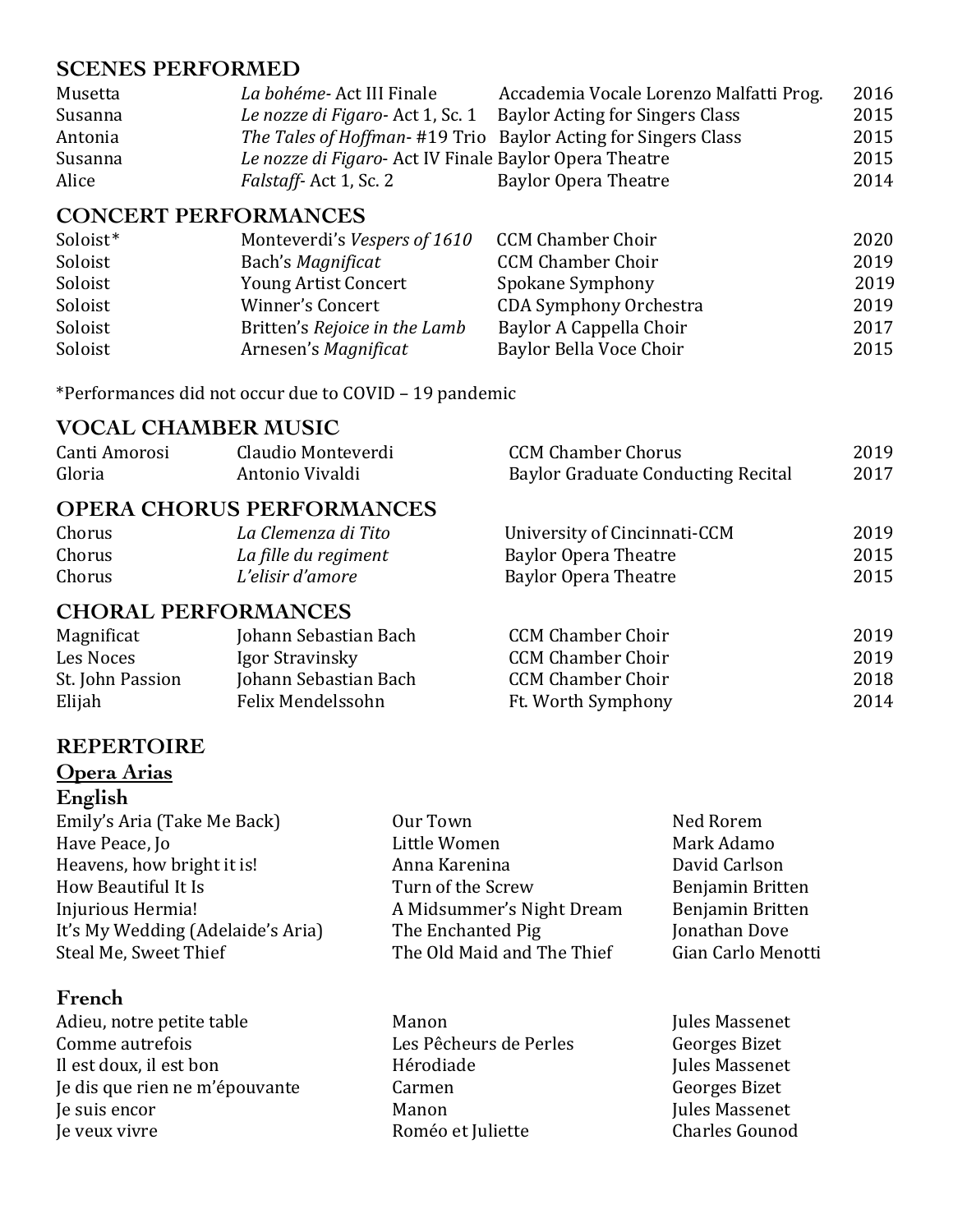#### **SCENES PERFORMED**

| Musetta | La bohéme-Act III Finale                                       | Accademia Vocale Lorenzo Malfatti Prog. | 2016 |
|---------|----------------------------------------------------------------|-----------------------------------------|------|
| Susanna | Le nozze di Figaro-Act 1, Sc. 1                                | <b>Baylor Acting for Singers Class</b>  | 2015 |
| Antonia | The Tales of Hoffman- #19 Trio Baylor Acting for Singers Class |                                         | 2015 |
| Susanna | Le nozze di Figaro- Act IV Finale Baylor Opera Theatre         |                                         | 2015 |
| Alice   | <i>Falstaff-Act 1, Sc. 2</i>                                   | Baylor Opera Theatre                    | 2014 |

#### **CONCERT PERFORMANCES**

| Soloist* | Monteverdi's Vespers of 1610  | <b>CCM Chamber Choir</b>      | 2020 |
|----------|-------------------------------|-------------------------------|------|
| Soloist  | Bach's Magnificat             | <b>CCM Chamber Choir</b>      | 2019 |
| Soloist  | <b>Young Artist Concert</b>   | Spokane Symphony              | 2019 |
| Soloist  | <b>Winner's Concert</b>       | <b>CDA Symphony Orchestra</b> | 2019 |
| Soloist  | Britten's Rejoice in the Lamb | Baylor A Cappella Choir       | 2017 |
| Soloist  | Arnesen's Magnificat          | Baylor Bella Voce Choir       | 2015 |

\*Performances did not occur due to COVID – 19 pandemic

#### **VOCAL CHAMBER MUSIC**

| Canti Amorosi              | Claudio Monteverdi               | <b>CCM Chamber Chorus</b>                 | 2019 |
|----------------------------|----------------------------------|-------------------------------------------|------|
| Gloria                     | Antonio Vivaldi                  | <b>Baylor Graduate Conducting Recital</b> | 2017 |
|                            | <b>OPERA CHORUS PERFORMANCES</b> |                                           |      |
| Chorus                     | La Clemenza di Tito              | University of Cincinnati-CCM              | 2019 |
| Chorus                     | La fille du regiment             | <b>Baylor Opera Theatre</b>               | 2015 |
| Chorus                     | L'elisir d'amore                 | <b>Baylor Opera Theatre</b>               | 2015 |
| <b>CHORAL PERFORMANCES</b> |                                  |                                           |      |
| Magnificat                 | Johann Sebastian Bach            | <b>CCM Chamber Choir</b>                  | 2019 |
| Les Noces                  | Igor Stravinsky                  | <b>CCM Chamber Choir</b>                  | 2019 |
| St. John Passion           | Johann Sebastian Bach            | <b>CCM Chamber Choir</b>                  | 2018 |
| Elijah                     | Felix Mendelssohn                | Ft. Worth Symphony                        | 2014 |

#### **REPERTOIRE**

#### **Opera Arias English**

Emily's Aria (Take Me Back) **Dur Town** Cour Town Ned Rorem Have Peace, Jo **Example 2018** Little Women Mark Adamo Heavens, how bright it is! Anna Karenina David Carlson How Beautiful It Is **Example 20** Turn of the Screw Benjamin Britten Injurious Hermia! The A Midsummer's Night Dream Benjamin Britten It's My Wedding (Adelaide's Aria) The Enchanted Pig Free and Mension Dove Steal Me. Sweet Thief Free The Old Maid and The Thief Free Gian Carlo Men

#### **French**

- Adieu, notre petite table Manon Manon Manon Jules Massenet Comme autrefois The Comme autrefois Europe Comme autrefois Europe Cesaret Center Georges Bizet Il est doux, il est bon Ferodiade Ferodiade Massenet Je dis que rien ne m'épouvante Carmen Carmen de Carmen Georges Bizet **Je suis encor CO Manon Manon Jules Massenet** Je veux vivre Roméo et Juliette Charles Gounod
- The Old Maid and The Thief Gian Carlo Menotti
- 
- 
-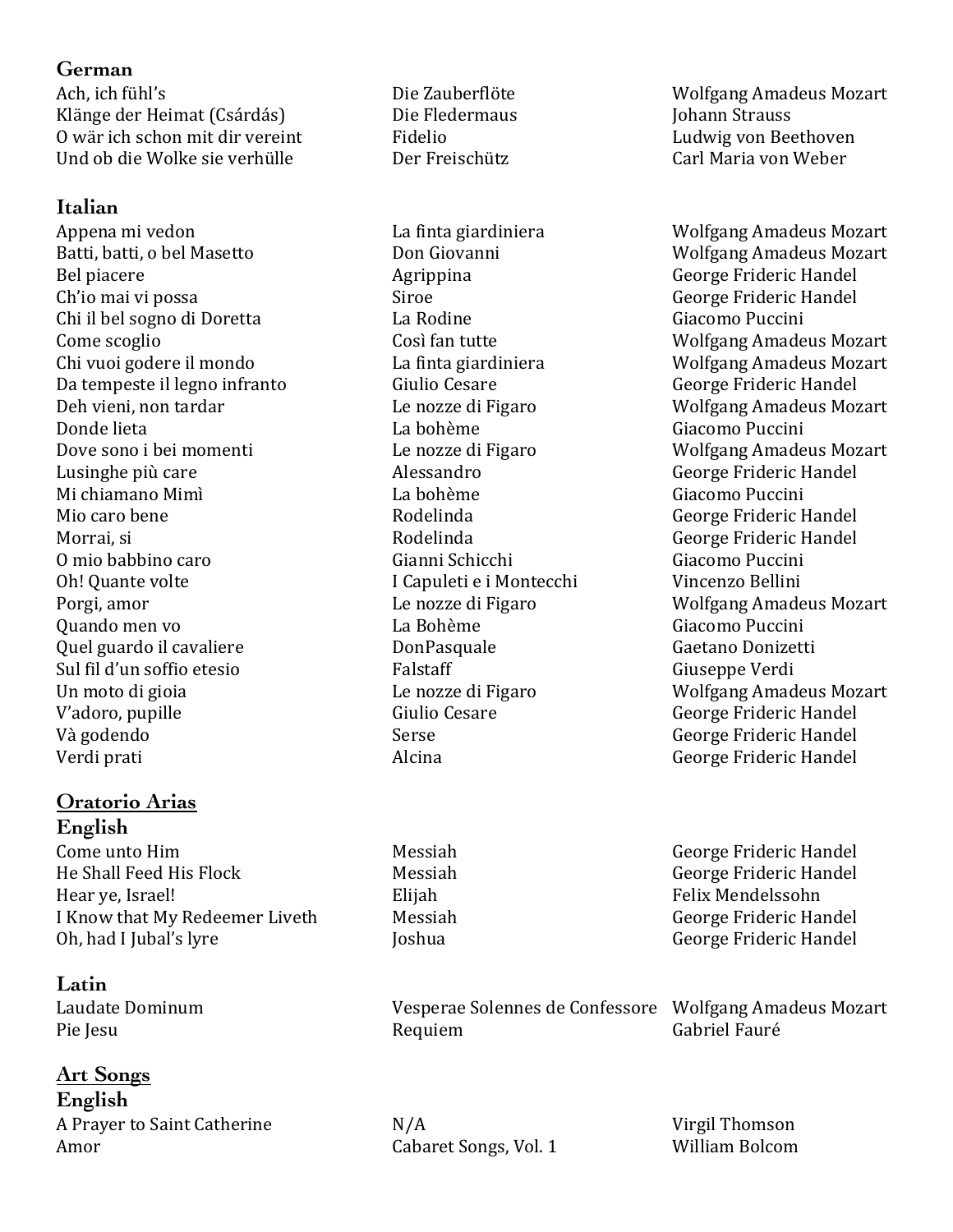#### **German**

Ach, ich fühl's **Einestein Einer Schweiter aus Die Zauberflöte** Wolfgang Amadeus Mozart Klänge der Heimat (Csárdás) Die Fledermaus Johann Strauss O wär ich schon mit dir vereint Fidelio Fidelio Ludwig von Beethoven Und ob die Wolke sie verhülle Der Freischütz Carl Maria von Weber 

#### **Italian**

Batti, batti, o bel Masetto **Station Exercision** Don Giovanni North Wolfgang Amadeus Mozart Bel piacere **Agrippina** Agrippina George Frideric Handel Ch'io mai vi possa Siroe Siroe Siroe George Frideric Handel Chi il bel sogno di Doretta La Rodine Chi il bel sogno di Doretta La Rodine Chi il bel sogno di Doretta La Rodine Chi i Come scoglio Così fan tutte Wolfgang Amadeus Mozart Chi vuoi godere il mondo 
La finta giardiniera 
Univuoi godere il mondo La finta giardiniera 
Univuoi godere il mondo Da tempeste il legno infranto Giulio Cesare George Frideric Handel Deh vieni, non tardar and the nozze di Figaro Molfgang Amadeus Mozart Donde lieta La bohème Giacomo Puccini Dove sono i bei momenti entertain- Le nozze di Figaro Solomo Wolfgang Amadeus Mozart Lusinghe più care  $\qquad \qquad$  Alessandro  $\qquad \qquad$  George Frideric Handel Mi chiamano Mimì La bohème Giacomo Puccini Mio caro bene The Rodelinda Channel George Frideric Handel Morrai, si **Morrai, si** Rodelinda **Rodelinda** George Frideric Handel O mio babbino caro Gianni Schicchi Giacomo Puccini Oh! Quante volte **I** Capuleti e i Montecchi Vincenzo Bellini Porgi, amor **Example 20** Le nozze di Figaro Molfgang Amadeus Mozart Quando men vo La Bohème Giacomo Puccini Quel guardo il cavaliere Contrasses donno DonPasquale Caetano Donizetti Sul fil d'un soffio etesio Falstaff Falstaff Giuseppe Verdi Un moto di gioia **Le** nozze di Figaro Wolfgang Amadeus Mozart V'adoro, pupille 
Giulio Cesare

George Frideric Handel Và godendo Serse Serse George Frideric Handel Verdi prati **Alcina** Alcina **Alcina** George Frideric Handel

## **Oratorio Arias**

**English**  Come unto Him **Messiah** Messiah George Frideric Handel He Shall Feed His Flock Messiah Messiah George Frideric Handel Hear ve, Israel! The Contract Elijah Felix Mendelssohn I Know that My Redeemer Liveth Messiah Messiah George Frideric Handel Oh, had I Jubal's lyre **International Community** Joshua George Frideric Handel

**Latin** 

#### **Art Songs**

**English**  A Prayer to Saint Catherine  $N/A$  Virgil Thomson Amor Cabaret Songs, Vol. 1 William Bolcom

Appena mi vedon by a controller can be a finta giardiniera can be a wolfgang Amadeus Mozart

Laudate Dominum Vesperae Solennes de Confessore Wolfgang Amadeus Mozart Pie Iesu and The Requiem Requiem and Cabriel Fauré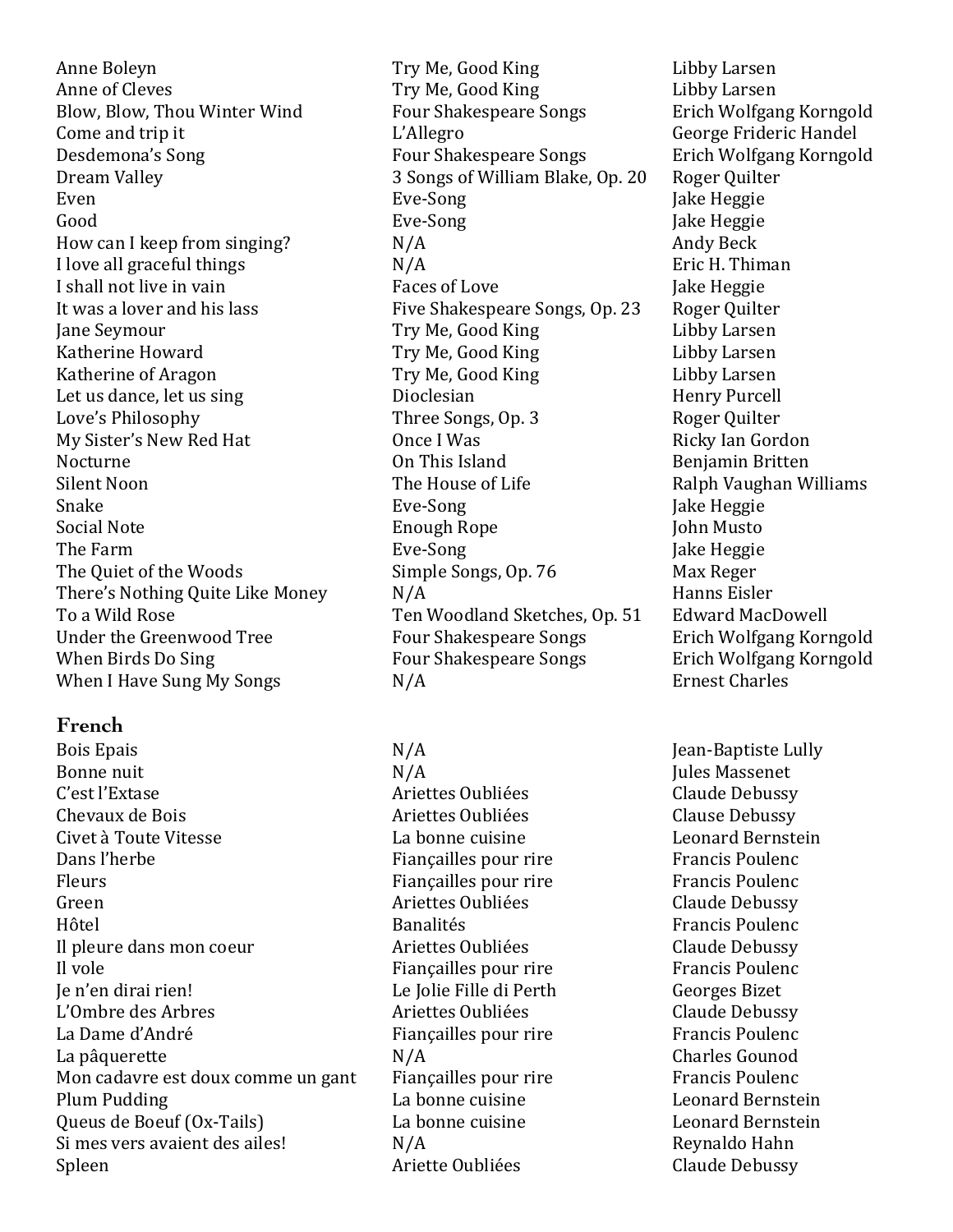Anne of Cleves Try Me, Good King Libby Larsen Blow, Blow, Thou Winter Wind Four Shakespeare Songs Erich Wolfgang Korngold Come and trip it The L'Allegro Come and trip it L'Allegro Come and trip it Desdemona's Song Song Four Shakespeare Songs Erich Wolfgang Korngold Dream Valley **3 Songs of William Blake, Op. 20** Roger Quilter Even **Eve-Song** Development Even Even and Even and Take Heggie Good Good Eve-Song Exercise Eve-Song Jake Heggie How can I keep from singing?  $N/A$  Andy Beck I love all graceful things  $N/A$  Eric H. Thiman I shall not live in vain **Faces** of Love Jake Heggie Jake Heggie It was a lover and his lass Five Shakespeare Songs, Op. 23 Roger Quilter Jane Seymour **Try Me, Good King** Libby Larsen Katherine Howard Try Me, Good King Libby Larsen Katherine of Aragon Try Me, Good King Libby Larsen Let us dance, let us sing bioclesian Dioclesian Henry Purcell Love's Philosophy Three Songs, Op. 3 Roger Quilter My Sister's New Red Hat **Once I** Was **Ricky** Ian Gordon Nocturne **Contract Confluence** On This Island **Benjamin** Britten Silent Noon The House of Life Ralph Vaughan Williams Snake Eve-Song Jake Heggie Social Note **Social Note Enough Rope** John Musto The Farm Eve-Song Eve-Song Jake Heggie The Quiet of the Woods Simple Songs, Op. 76 Max Reger There's Nothing Quite Like Money  $N/A$  Hanns Eisler To a Wild Rose Ten Woodland Sketches, Op. 51 Edward MacDowell Under the Greenwood Tree The Four Shakespeare Songs Erich Wolfgang Korngold When Birds Do Sing The Sour Shakespeare Songs Erich Wolfgang Korngold When I Have Sung My Songs  $N/A$  Ernest Charles

#### **French**

Bois Epais **N/A** Jean-Baptiste Lully Bonne nuit and the N/A Jules Massenet N/A Jules Massenet C'est l'Extase Ariettes Oubliées Claude Debussy Chevaux de Bois **Exercices** Clause Debussy **Clause** Debussy Civet à Toute Vitesse The La bonne cuisine the Leonard Bernstein Civet à Toute Vitesse Dans l'herbe **Figure Example 2018** Fiançailles pour rire Francis Poulenc Fleurs Fiançailles pour rire Francis Poulence Francis Poulence Green **Ariettes Oubliées** Claude Debussy Hôtel Banalités Francis Poulenc Il pleure dans mon coeur **Ariettes** Oubliées Claude Debussy Il vole **Figure Fiancailles** pour rire **Francis** Poulenc Je n'en dirai rien! Le Jolie Fille di Perth Georges Bizet L'Ombre des Arbres 
aux accessions des Arbres et al. Ariettes Oubliées  $\bullet$  Claude Debussy La Dame d'André **Election Exercits** Fiançailles pour rire Francis Poulenc La pâquerette  $N/A$  Charles Gounod Mon cadavre est doux comme un gant Fiançailles pour rire Francis Poulenc Plum Pudding The Company of La bonne cuisine Leonard Bernstein Queus de Boeuf (Ox-Tails) La bonne cuisine Leonard Bernstein Si mes vers avaient des ailes!  $N/A$  Reynaldo Hahn Spleen **Ariette Oubliées** Claude Debussy

Anne Boleyn Try Me, Good King Libby Larsen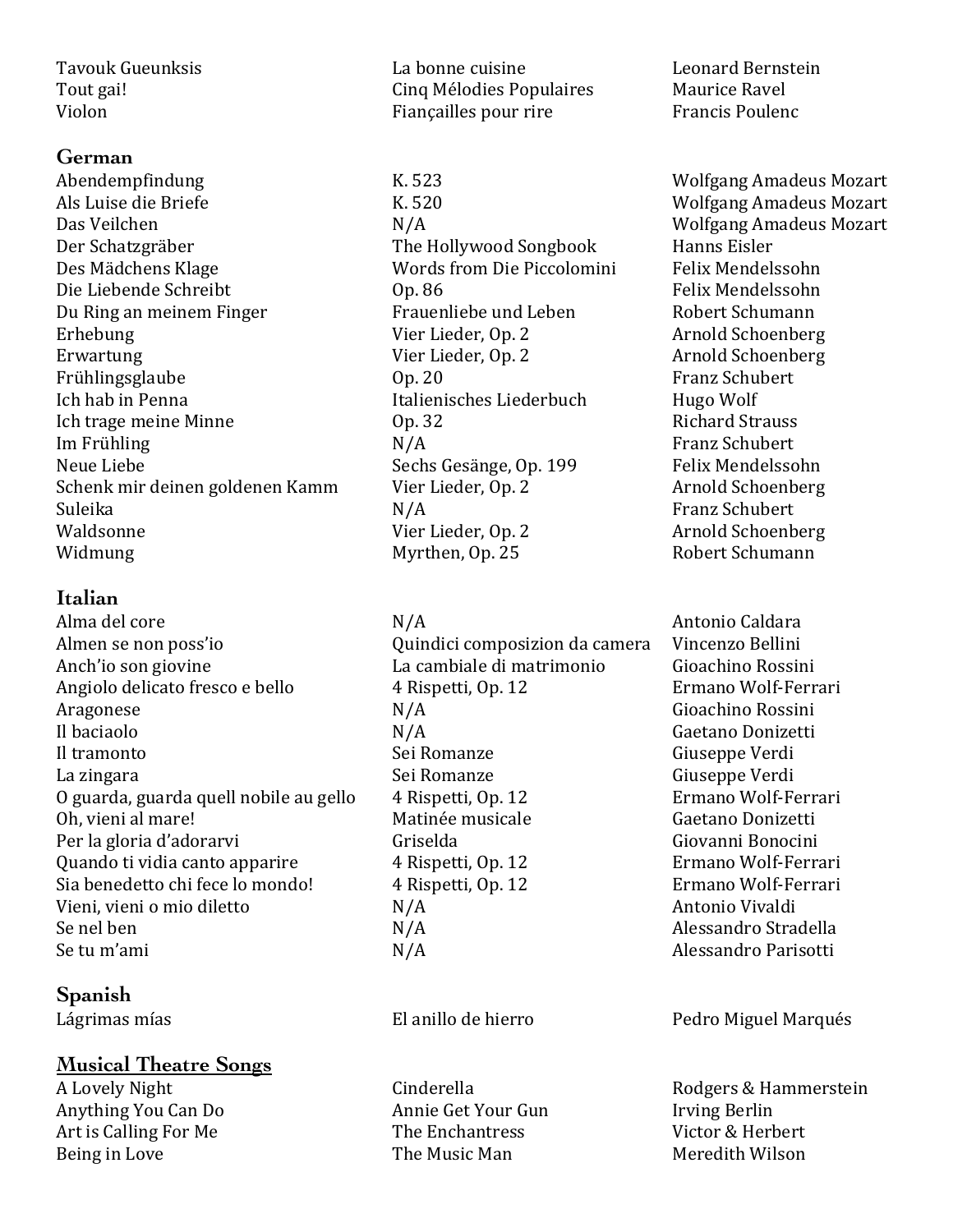#### **German**

Abendempfindung The K. 523 K. 523 Wolfgang Amadeus Mozart Als Luise die Briefe The Contract Contract Contract Contract Contract Contract Contract Contract Contract Contract Contract Contract Contract Contract Contract Contract Contract Contract Contract Contract Contract Contract Das Veilchen N/A Wolfgang Amadeus Mozart Der Schatzgräber The Hollywood Songbook Hanns Eisler Des Mädchens Klage The Words from Die Piccolomini Felix Mendelssohn Die Liebende Schreibt Op. 86 Felix Mendelssohn Du Ring an meinem Finger Theory Frauenliebe und Leben Theory Robert Schumann Erhebung Vier Lieder, Op. 2 Arnold Schoenberg Erwartung **Vier Lieder, Op. 2** Arnold Schoenberg **Arnold** Schoenberg Frühlingsglaube **Op.** 20 Company of the Schubert Company of the Schubert Company of the Schubert Company of the Schubert Ich hab in Penna **Italienisches Liederbuch** Hugo Wolf Ich trage meine Minne **Community** Community Op. 32 **Richard Strauss** Richard Strauss Im Frühling N/A Franz Schubert Neue Liebe **Sechs Gesänge, Op. 199** Felix Mendelssohn Schenk mir deinen goldenen Kamm Vier Lieder, Op. 2 Arnold Schoenberg Suleika N/A N/A Franz Schubert Waldsonne **Vier Lieder, Op. 2** Arnold Schoenberg Widmung Myrthen, Op. 25 Robert Schumann

#### **Italian**

Alma del core  $N/A$  Antonio Caldara Almen se non poss'io  $\qquad \qquad \qquad$  Quindici composizion da camera  $\qquad$  Vincenzo Bellini Anch'io son giovine **La cambiale di matrimonio** Gioachino Rossini Angiolo delicato fresco e bello 4 Rispetti, Op. 12 Ermano Wolf-Ferrari Aragonese N/A Gioachino Rossini Il baciaolo **N/A** Gaetano Donizetti Il tramonto Sei Romanze Giuseppe Verdi La zingara Sei Romanze Giuseppe Verdi O guarda, guarda quell nobile au gello  $4$  Rispetti, Op. 12 Ermano Wolf-Ferrari Oh, vieni al mare!<br>
Matinée musicale Caetano Donizetti Per la gloria d'adorarvi de controllo della Griselda del Giovanni Bonocini Quando ti vidia canto apparire  $\begin{array}{ccc} 4 &$  Rispetti, Op. 12 Ermano Wolf-Ferrari Sia benedetto chi fece lo mondo! 4 Rispetti, Op. 12 Ermano Wolf-Ferrari Vieni, vieni o mio diletto  $N/A$  Antonio Vivaldi Se nel ben  $N/A$  Alessandro Stradella Se tu m'ami  $N/A$  Alessandro Parisotti

#### **Spanish**

#### **Musical Theatre Songs**

Anything You Can Do **Annie Get Your Gun** Irving Berlin Art is Calling For Me The Enchantress The Enchantress Victor & Herbert Being in Love **The Music Man** Meredith Wilson

Tavouk Gueunksis Tabonne cuisine Lames Leonard Bernstein Tout gai! Tout gail in the Cinq Mélodies Populaires Maurice Ravel Violon Fiançailles pour rire Francis Poulence Francis Poulence

Lágrimas mías **El anillo** de hierro **El anillo de hierro** Pedro Miguel Marqués

A Lovely Night **Cinderella** Cinderella Rodgers & Hammerstein